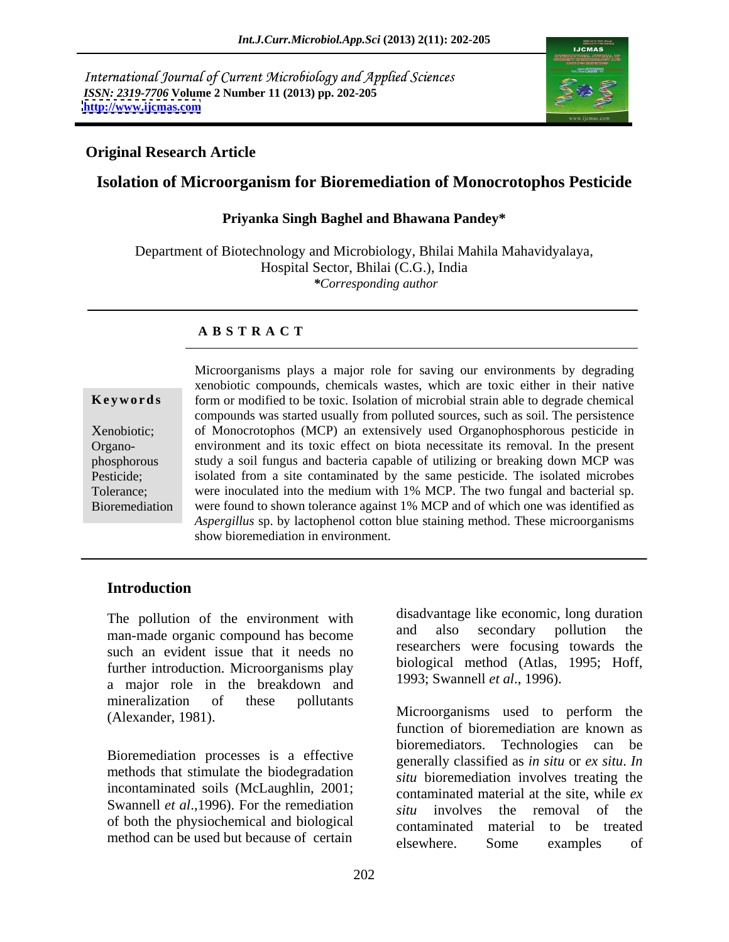International Journal of Current Microbiology and Applied Sciences *ISSN: 2319-7706* **Volume 2 Number 11 (2013) pp. 202-205 <http://www.ijcmas.com>**



### **Original Research Article**

# **Isolation of Microorganism for Bioremediation of Monocrotophos Pesticide**

#### **Priyanka Singh Baghel and Bhawana Pandey\***

Department of Biotechnology and Microbiology, Bhilai Mahila Mahavidyalaya, Hospital Sector, Bhilai (C.G.), India *\*Corresponding author* 

#### **A B S T R A C T**

**Ke ywo rds** form or modified to be toxic. Isolation of microbial strain able to degrade chemical Xenobiotic; of Monocrotophos (MCP) an extensively used Organophosphorous pesticide in Organo- environment and its toxic effect on biotanecessitate its removal. In the present phosphorous study a soil fungus and bacteria capable of utilizing or breaking down MCP was Pesticide; isolated from a site contaminated by the same pesticide. The isolated microbes Tolerance; were inoculated into the medium with 1% MCP. The two fungal and bacterial sp. Bioremediation were found to shown tolerance against 1% MCP and of which one was identified as Microorganisms plays a major role for saving our environments by degrading<br> **Exerywords**<br>
Mevideonological compounds, chemicals wastes, which are toxic either in their native<br>
form or modified to be toxic. Isolation of mic xenobiotic compounds, chemicals wastes, which are toxic either in their native compounds was started usually from polluted sources, such as soil. The persistence *Aspergillus* sp. by lactophenol cotton blue staining method. These microorganisms show bioremediation in environment.

### **Introduction**

The pollution of the environment with<br>men mede exercise compound be become and also secondary pollution the man-made organic compound has become such an evident issue that it needs no further introduction. Microorganisms play a major role in the breakdown and mineralization of these pollutants (Alexander, 1981). Microorganisms used to perform the

Bioremediation processes is a effective methods that stimulate the biodegradation incontaminated soils (McLaughlin, 2001; Swannell *et al.*,1996). For the remediation  $\frac{1}{s}$  is involved the removal of the of both the physiochemical and biological

disadvantage like economic, long duration and also secondary pollution the researchers were focusing towards the biological method (Atlas, 1995; Hoff, 1993; Swannell *et al*., 1996).

method can be used but because of certain elsewhere. Some examples of Microorganisms used to perform the function of bioremediation are known as bioremediators. Technologies can be generally classified as *in situ* or *ex situ*. *In situ* bioremediation involves treating the contaminated material at the site, while *ex situ* involves the removal of the contaminated material to be treated elsewhere. Some examples of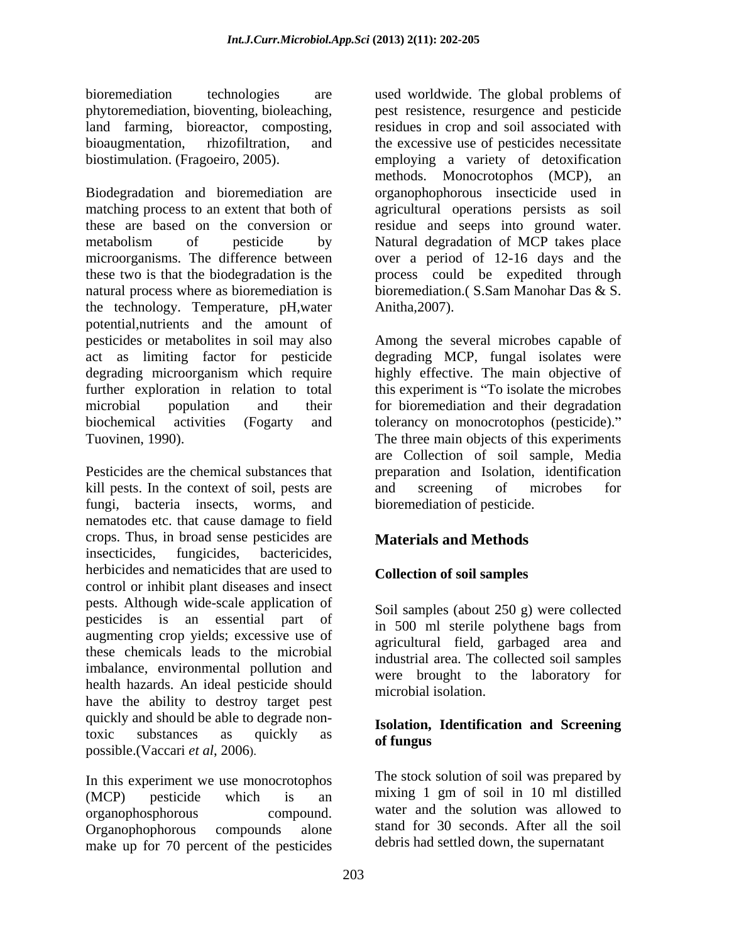Biodegradation and bioremediation are organophophorous insecticide used in matching process to an extent that both of agricultural operations persists as soil these are based on the conversion or residue and seeps into ground water. metabolism of pesticide by Natural degradation of MCP takes place microorganisms. The difference between over a period of 12-16 days and the these two is that the biodegradation is the process could be expedited through natural process where as bioremediation is bioremediation.( S.Sam Manohar Das & S. the technology. Temperature, pH,water potential,nutrients and the amount of pesticides or metabolites in soil may also Among the several microbes capable of act as limiting factor for pesticide degrading microorganism which require highly effective. The main objective of further exploration in relation to total this experiment is "To isolate the microbes" microbial population and their for bioremediation and their degradation biochemical activities (Fogarty and tolerancy on monocrotophos (pesticide). Tuovinen, 1990). The three main objects of this experiments

kill pests. In the context of soil, pests are and screening of microbes for fungi, bacteria insects, worms, and nematodes etc. that cause damage to field crops. Thus, in broad sense pesticides are insecticides, fungicides, bactericides, herbicides and nematicides that are used to control or inhibit plant diseases and insect pests. Although wide-scale application of pesticides is an essential part of in 500 ml sterile polythene bags from augmenting crop yields; excessive use of these chemicals leads to the microbial imbalance, environmental pollution and health hazards. An ideal pesticide should have the ability to destroy target pest quickly and should be able to degrade nontoxic substances as quickly as **of fungus** possible.(Vaccari *et al*, 2006). The assessment of fungus of the possible.

In this experiment we use monocrotophos The stock solution of soil was prepared by<br>
(MCP) position which is an unixing 1 gm of soil in 10 ml distilled (MCP) pesticide which is an mixing I gm of soil in 10 ml distilled organophosphorous compound. water and the solution was allowed to Organophophorous compounds alone stand for 30 seconds. After all the soil make up for 70 percent of the pesticides

bioremediation technologies are used worldwide. The global problems of phytoremediation, bioventing, bioleaching, land farming, bioreactor, composting, land farming, bioreactor, composting, land the excessive use of pesticides necessitate bioaugmentation, rhizofiltration, and land the excessi biostimulation. (Fragoeiro, 2005). employing a variety of detoxification pest resistence, resurgence and pesticide residues in crop and soil associated with the excessive use of pesticides necessitate methods. Monocrotophos (MCP), an Anitha,2007).

Pesticides are the chemical substances that preparation and Isolation, identification degrading MCP, fungal isolates were are Collection of soil sample, Media and screening of microbes for bioremediation of pesticide.

# **Materials and Methods**

# **Collection of soil samples**

Soil samples (about 250 g) were collected in 500 ml sterile polythene bags from agricultural field, garbaged area and industrial area. The collected soil samples were brought to the laboratory for microbial isolation.

#### **Isolation, Identification and Screening of fungus**

The stock solution of soil was prepared by mixing 1 gm of soil in 10 ml distilled stand for 30 seconds. After all the soil debris had settled down, the supernatant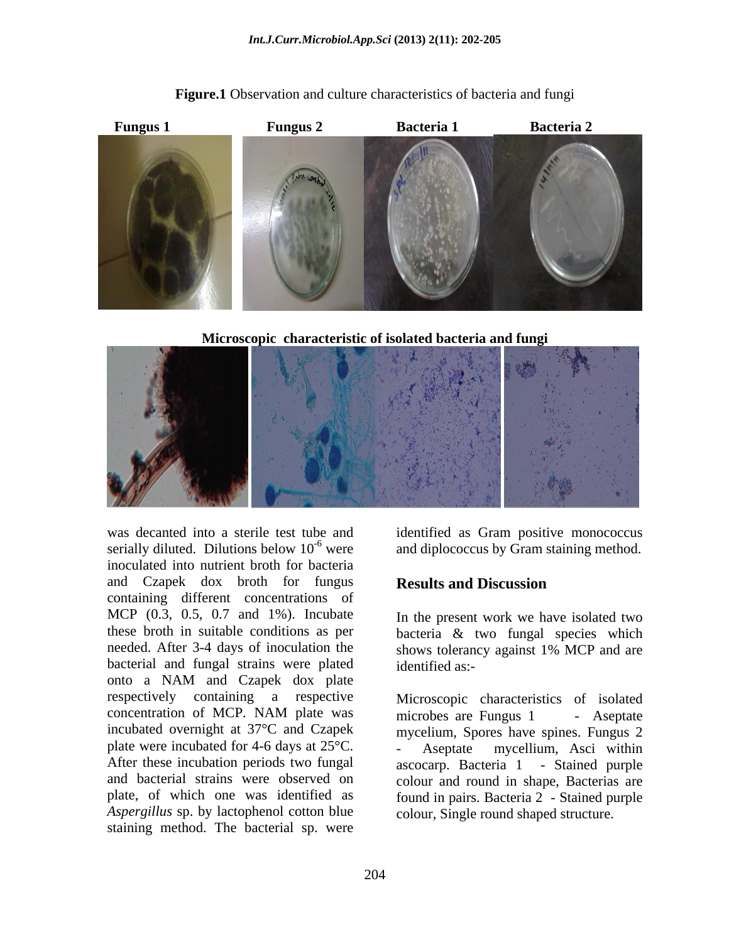

**Figure.1** Observation and culture characteristics of bacteria and fungi

**Microscopic characteristic of isolated bacteria and fungi**



was decanted into a sterile test tube and identified as Gram positive monococcus serially diluted. Dilutions below  $10^{-6}$  were and diplococcus by Gram staining method. inoculated into nutrient broth for bacteria and Czapek dox broth for fungus **Results and Discussion** containing different concentrations of MCP (0.3, 0.5, 0.7 and 1%). Incubate these broth in suitable conditions as per bacteria & two fungal species which needed. After 3-4 days of inoculation the shows tolerancy against 1% MCP and are bacterial and fungal strains were plated onto a NAM and Czapek dox plate respectively containing a respective Microscopic characteristics of isolated incubated overnight at 37°C and Czapek plate were incubated for 4-6 days at 25°C. Aseptate mycellium, Asci within *Aspergillus* sp. by lactophenol cotton blue staining method. The bacterial sp. were

# **Results and Discussion**

In the present work we have isolated two shows tolerancy against 1% MCP and are identified as:-

concentration of MCP. NAM plate was After these incubation periods two fungal ascocarp. Bacteria 1 - Stained purple and bacterial strains were observed on colour and round in shape, Bacterias are plate, of which one was identified as found in pairs. Bacteria 2 - Stained purple microbes are Fungus 1 - Aseptate mycelium, Spores have spines. Fungus 2 - Aseptate mycellium, Asci within colour, Single round shaped structure.